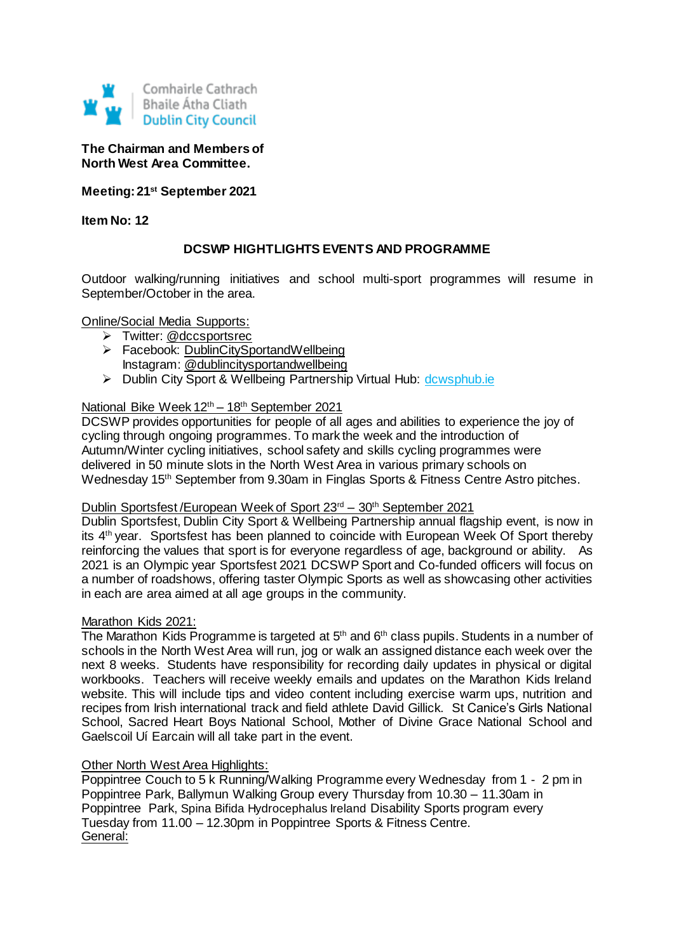

## **The Chairman and Members of North West Area Committee.**

**Meeting: 21st September 2021**

**Item No: 12**

# **DCSWP HIGHTLIGHTS EVENTS AND PROGRAMME**

Outdoor walking/running initiatives and school multi-sport programmes will resume in September/October in the area.

Online/Social Media Supports:

- > Twitter: @dccsportsrec
- > Facebook: [DublinCitySportandWellbeing](https://www.facebook.com/DublinCitySportandWellbeingPartnership/) Instagram: @dublincitysportandwellbeing
- > Dublin City Sport & Wellbeing Partnership Virtual Hub: [dcwsphub.ie](http://www.dcswphub.ie/)

## National Bike Week 12<sup>th</sup> – 18<sup>th</sup> September 2021

DCSWP provides opportunities for people of all ages and abilities to experience the joy of cycling through ongoing programmes. To mark the week and the introduction of Autumn/Winter cycling initiatives, school safety and skills cycling programmes were delivered in 50 minute slots in the North West Area in various primary schools on Wednesday 15th September from 9.30am in Finglas Sports & Fitness Centre Astro pitches.

#### Dublin Sportsfest/European Week of Sport 23<sup>rd</sup> – 30<sup>th</sup> September 2021

Dublin Sportsfest, Dublin City Sport & Wellbeing Partnership annual flagship event, is now in its 4th year. Sportsfest has been planned to coincide with European Week Of Sport thereby reinforcing the values that sport is for everyone regardless of age, background or ability. As 2021 is an Olympic year Sportsfest 2021 DCSWP Sport and Co-funded officers will focus on a number of roadshows, offering taster Olympic Sports as well as showcasing other activities in each are area aimed at all age groups in the community.

#### Marathon Kids 2021:

The Marathon Kids Programme is targeted at 5<sup>th</sup> and 6<sup>th</sup> class pupils. Students in a number of schools in the North West Area will run, jog or walk an assigned distance each week over the next 8 weeks. Students have responsibility for recording daily updates in physical or digital workbooks. Teachers will receive weekly emails and updates on the Marathon Kids Ireland website. This will include tips and video content including exercise warm ups, nutrition and recipes from Irish international track and field athlete David Gillick. St Canice's Girls National School, Sacred Heart Boys National School, Mother of Divine Grace National School and Gaelscoil Uí Earcain will all take part in the event.

#### Other North West Area Highlights:

Poppintree Couch to 5 k Running/Walking Programme every Wednesday from 1 - 2 pm in Poppintree Park, Ballymun Walking Group every Thursday from 10.30 – 11.30am in Poppintree Park, Spina Bifida Hydrocephalus Ireland Disability Sports program every Tuesday from 11.00 – 12.30pm in Poppintree Sports & Fitness Centre. General: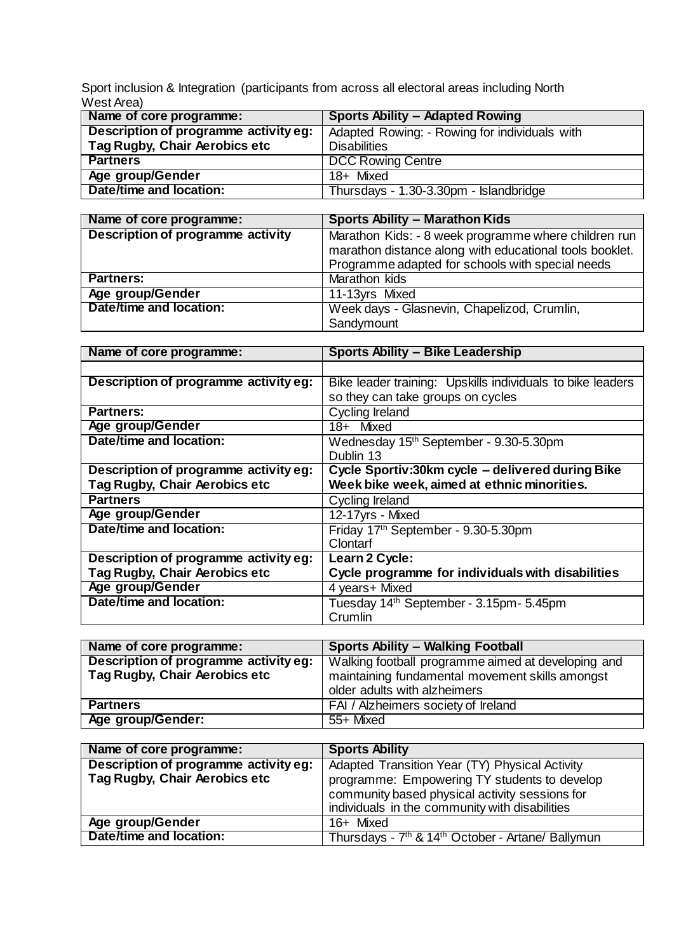Sport inclusion & Integration (participants from across all electoral areas including North West Area)

| Name of core programme:               | <b>Sports Ability - Adapted Rowing</b>        |
|---------------------------------------|-----------------------------------------------|
| Description of programme activity eg: | Adapted Rowing: - Rowing for individuals with |
| Tag Rugby, Chair Aerobics etc         | <b>Disabilities</b>                           |
| <b>Partners</b>                       | <b>DCC Rowing Centre</b>                      |
| Age group/Gender                      | 18+ Mixed                                     |
| Date/time and location:               | Thursdays - 1.30-3.30pm - Islandbridge        |

| Name of core programme:           | <b>Sports Ability - Marathon Kids</b>                                                                           |  |
|-----------------------------------|-----------------------------------------------------------------------------------------------------------------|--|
| Description of programme activity | Marathon Kids: - 8 week programme where children run<br>marathon distance along with educational tools booklet. |  |
|                                   | Programme adapted for schools with special needs                                                                |  |
| <b>Partners:</b>                  | Marathon kids                                                                                                   |  |
| Age group/Gender                  | 11-13yrs Mixed                                                                                                  |  |
| Date/time and location:           | Week days - Glasnevin, Chapelizod, Crumlin,                                                                     |  |
|                                   | Sandymount                                                                                                      |  |

| Name of core programme:               | <b>Sports Ability - Bike Leadership</b>                    |  |
|---------------------------------------|------------------------------------------------------------|--|
|                                       |                                                            |  |
| Description of programme activity eg: | Bike leader training: Upskills individuals to bike leaders |  |
|                                       | so they can take groups on cycles                          |  |
| <b>Partners:</b>                      | Cycling Ireland                                            |  |
| Age group/Gender                      | 18+ Mixed                                                  |  |
| Date/time and location:               | Wednesday 15 <sup>th</sup> September - 9.30-5.30pm         |  |
|                                       | Dublin 13                                                  |  |
| Description of programme activity eg: | Cycle Sportiv:30km cycle - delivered during Bike           |  |
| Tag Rugby, Chair Aerobics etc         | Week bike week, aimed at ethnic minorities.                |  |
| <b>Partners</b>                       | Cycling Ireland                                            |  |
| Age group/Gender                      | 12-17yrs - Mixed                                           |  |
| Date/time and location:               | Friday 17th September - 9.30-5.30pm                        |  |
|                                       | Clontarf                                                   |  |
| Description of programme activity eg: | Learn 2 Cycle:                                             |  |
| Tag Rugby, Chair Aerobics etc         | Cycle programme for individuals with disabilities          |  |
| <b>Age group/Gender</b>               | 4 years+ Mixed                                             |  |
| Date/time and location:               | Tuesday 14 <sup>th</sup> September - 3.15pm- 5.45pm        |  |
|                                       | Crumlin                                                    |  |

| Name of core programme:               | <b>Sports Ability - Walking Football</b>           |  |
|---------------------------------------|----------------------------------------------------|--|
| Description of programme activity eg: | Walking football programme aimed at developing and |  |
| <b>Tag Rugby, Chair Aerobics etc</b>  | maintaining fundamental movement skills amongst    |  |
|                                       | older adults with alzheimers                       |  |
| <b>Partners</b>                       | FAI / Alzheimers society of Ireland                |  |
| Age group/Gender:                     | 55+ Mixed                                          |  |

| Name of core programme:               | <b>Sports Ability</b>                                                     |  |
|---------------------------------------|---------------------------------------------------------------------------|--|
| Description of programme activity eg: | Adapted Transition Year (TY) Physical Activity                            |  |
| Tag Rugby, Chair Aerobics etc         | programme: Empowering TY students to develop                              |  |
|                                       | community based physical activity sessions for                            |  |
|                                       | individuals in the community with disabilities                            |  |
| Age group/Gender                      | 16+ Mixed                                                                 |  |
| Date/time and location:               | Thursdays - 7 <sup>th</sup> & 14 <sup>th</sup> October - Artane/ Ballymun |  |